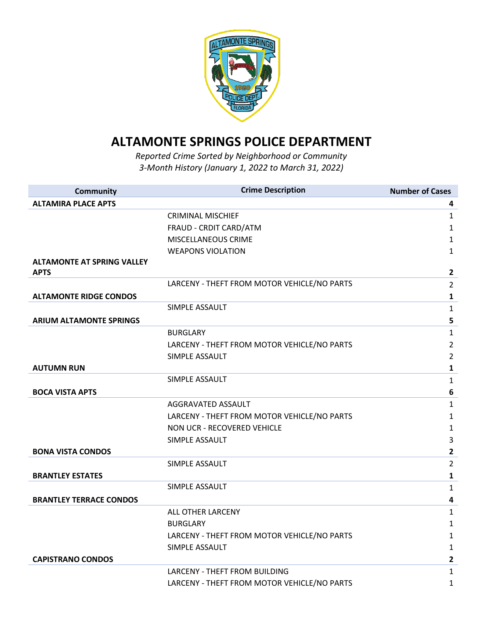

## **ALTAMONTE SPRINGS POLICE DEPARTMENT**

*Reported Crime Sorted by Neighborhood or Community 3-Month History (January 1, 2022 to March 31, 2022)* 

| <b>Community</b>                  | <b>Crime Description</b>                    | <b>Number of Cases</b>  |
|-----------------------------------|---------------------------------------------|-------------------------|
| <b>ALTAMIRA PLACE APTS</b>        |                                             | 4                       |
|                                   | <b>CRIMINAL MISCHIEF</b>                    | $\mathbf{1}$            |
|                                   | FRAUD - CRDIT CARD/ATM                      | $\mathbf{1}$            |
|                                   | MISCELLANEOUS CRIME                         | $\mathbf{1}$            |
|                                   | <b>WEAPONS VIOLATION</b>                    | $\mathbf{1}$            |
| <b>ALTAMONTE AT SPRING VALLEY</b> |                                             |                         |
| <b>APTS</b>                       |                                             | $\overline{2}$          |
|                                   | LARCENY - THEFT FROM MOTOR VEHICLE/NO PARTS | $\overline{2}$          |
| <b>ALTAMONTE RIDGE CONDOS</b>     |                                             | $\mathbf{1}$            |
|                                   | SIMPLE ASSAULT                              | $\mathbf{1}$            |
| <b>ARIUM ALTAMONTE SPRINGS</b>    |                                             | 5                       |
|                                   | <b>BURGLARY</b>                             | $\mathbf{1}$            |
|                                   | LARCENY - THEFT FROM MOTOR VEHICLE/NO PARTS | $\overline{2}$          |
|                                   | SIMPLE ASSAULT                              | $\overline{2}$          |
| <b>AUTUMN RUN</b>                 |                                             | $\mathbf{1}$            |
|                                   | SIMPLE ASSAULT                              | $\mathbf{1}$            |
| <b>BOCA VISTA APTS</b>            |                                             | $6\phantom{1}$          |
|                                   | AGGRAVATED ASSAULT                          | $\mathbf{1}$            |
|                                   | LARCENY - THEFT FROM MOTOR VEHICLE/NO PARTS | $\mathbf{1}$            |
|                                   | NON UCR - RECOVERED VEHICLE                 | $\mathbf{1}$            |
|                                   | SIMPLE ASSAULT                              | 3                       |
| <b>BONA VISTA CONDOS</b>          |                                             | $\overline{2}$          |
|                                   | SIMPLE ASSAULT                              | $\overline{2}$          |
| <b>BRANTLEY ESTATES</b>           |                                             | $\mathbf{1}$            |
|                                   | SIMPLE ASSAULT                              | $\mathbf{1}$            |
| <b>BRANTLEY TERRACE CONDOS</b>    |                                             | $\overline{\mathbf{4}}$ |
|                                   | ALL OTHER LARCENY                           | $\mathbf{1}$            |
|                                   | <b>BURGLARY</b>                             | $\mathbf{1}$            |
|                                   | LARCENY - THEFT FROM MOTOR VEHICLE/NO PARTS | $\mathbf{1}$            |
|                                   | SIMPLE ASSAULT                              | $\mathbf{1}$            |
| <b>CAPISTRANO CONDOS</b>          |                                             | $\overline{2}$          |
|                                   | LARCENY - THEFT FROM BUILDING               | $\mathbf{1}$            |
|                                   | LARCENY - THEFT FROM MOTOR VEHICLE/NO PARTS | $\mathbf{1}$            |
|                                   |                                             |                         |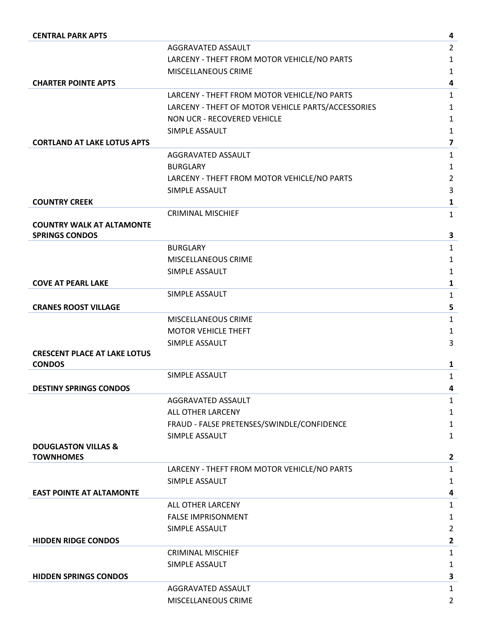| <b>CENTRAL PARK APTS</b>            |                                                    | 4                       |
|-------------------------------------|----------------------------------------------------|-------------------------|
|                                     | AGGRAVATED ASSAULT                                 | $\overline{2}$          |
|                                     | LARCENY - THEFT FROM MOTOR VEHICLE/NO PARTS        | 1                       |
|                                     | MISCELLANEOUS CRIME                                | 1                       |
| <b>CHARTER POINTE APTS</b>          |                                                    | 4                       |
|                                     | LARCENY - THEFT FROM MOTOR VEHICLE/NO PARTS        | 1                       |
|                                     | LARCENY - THEFT OF MOTOR VEHICLE PARTS/ACCESSORIES | 1                       |
|                                     | NON UCR - RECOVERED VEHICLE                        | 1                       |
|                                     | SIMPLE ASSAULT                                     | 1                       |
| <b>CORTLAND AT LAKE LOTUS APTS</b>  |                                                    | $\overline{\mathbf{z}}$ |
|                                     | AGGRAVATED ASSAULT                                 | $\mathbf{1}$            |
|                                     | <b>BURGLARY</b>                                    | 1                       |
|                                     | LARCENY - THEFT FROM MOTOR VEHICLE/NO PARTS        | $\overline{2}$          |
|                                     | SIMPLE ASSAULT                                     | 3                       |
| <b>COUNTRY CREEK</b>                |                                                    | 1                       |
|                                     | <b>CRIMINAL MISCHIEF</b>                           | 1                       |
| <b>COUNTRY WALK AT ALTAMONTE</b>    |                                                    |                         |
| <b>SPRINGS CONDOS</b>               |                                                    | 3                       |
|                                     | <b>BURGLARY</b>                                    | $\mathbf{1}$            |
|                                     | <b>MISCELLANEOUS CRIME</b>                         | 1                       |
|                                     | SIMPLE ASSAULT                                     | 1                       |
| <b>COVE AT PEARL LAKE</b>           |                                                    | $\mathbf{1}$            |
|                                     | SIMPLE ASSAULT                                     | $\mathbf{1}$            |
| <b>CRANES ROOST VILLAGE</b>         |                                                    | 5                       |
|                                     | MISCELLANEOUS CRIME                                | $\mathbf{1}$            |
|                                     | <b>MOTOR VEHICLE THEFT</b>                         | $\mathbf{1}$            |
|                                     | SIMPLE ASSAULT                                     | 3                       |
| <b>CRESCENT PLACE AT LAKE LOTUS</b> |                                                    |                         |
| <b>CONDOS</b>                       |                                                    | 1                       |
|                                     | SIMPLE ASSAULT                                     | 1                       |
| <b>DESTINY SPRINGS CONDOS</b>       |                                                    | 4                       |
|                                     | AGGRAVATED ASSAULT                                 | 1                       |
|                                     | ALL OTHER LARCENY                                  | 1                       |
|                                     | FRAUD - FALSE PRETENSES/SWINDLE/CONFIDENCE         | 1                       |
|                                     | SIMPLE ASSAULT                                     | 1                       |
| <b>DOUGLASTON VILLAS &amp;</b>      |                                                    |                         |
| <b>TOWNHOMES</b>                    |                                                    | $\overline{2}$          |
|                                     | LARCENY - THEFT FROM MOTOR VEHICLE/NO PARTS        | $\mathbf{1}$            |
| <b>EAST POINTE AT ALTAMONTE</b>     | SIMPLE ASSAULT                                     | 1                       |
|                                     |                                                    | 4                       |
|                                     | ALL OTHER LARCENY                                  | 1                       |
|                                     | <b>FALSE IMPRISONMENT</b>                          | 1                       |
|                                     | SIMPLE ASSAULT                                     | $\overline{2}$          |
| <b>HIDDEN RIDGE CONDOS</b>          |                                                    | $\overline{\mathbf{c}}$ |
|                                     | <b>CRIMINAL MISCHIEF</b>                           | 1                       |
|                                     | SIMPLE ASSAULT                                     | 1                       |
| <b>HIDDEN SPRINGS CONDOS</b>        |                                                    | 3                       |
|                                     | AGGRAVATED ASSAULT                                 | $\mathbf{1}$            |
|                                     | MISCELLANEOUS CRIME                                | $\overline{2}$          |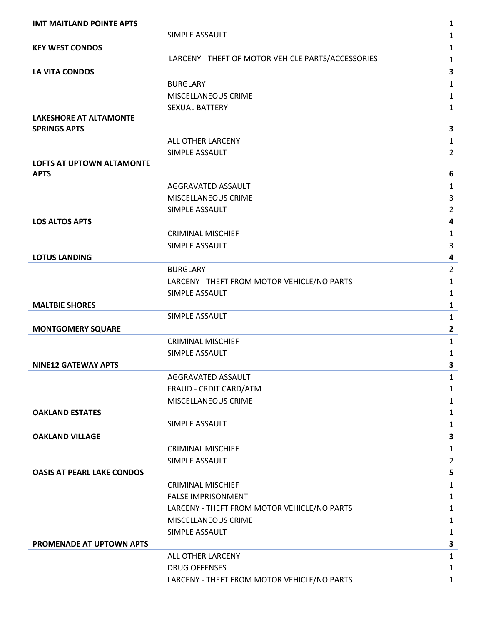| <b>IMT MAITLAND POINTE APTS</b>   |                                                    | $\mathbf{1}$   |
|-----------------------------------|----------------------------------------------------|----------------|
|                                   | SIMPLE ASSAULT                                     | $\mathbf{1}$   |
| <b>KEY WEST CONDOS</b>            |                                                    | $\mathbf{1}$   |
|                                   | LARCENY - THEFT OF MOTOR VEHICLE PARTS/ACCESSORIES | $\mathbf{1}$   |
| <b>LA VITA CONDOS</b>             |                                                    | 3              |
|                                   | <b>BURGLARY</b>                                    | $\mathbf 1$    |
|                                   | MISCELLANEOUS CRIME                                | 1              |
|                                   | <b>SEXUAL BATTERY</b>                              | 1              |
| <b>LAKESHORE AT ALTAMONTE</b>     |                                                    |                |
| <b>SPRINGS APTS</b>               |                                                    | 3              |
|                                   | ALL OTHER LARCENY                                  | $\mathbf{1}$   |
|                                   | SIMPLE ASSAULT                                     | 2              |
| <b>LOFTS AT UPTOWN ALTAMONTE</b>  |                                                    |                |
| <b>APTS</b>                       |                                                    | 6              |
|                                   | AGGRAVATED ASSAULT                                 | 1              |
|                                   | <b>MISCELLANEOUS CRIME</b>                         | 3              |
|                                   | SIMPLE ASSAULT                                     | 2<br>4         |
| <b>LOS ALTOS APTS</b>             |                                                    |                |
|                                   | <b>CRIMINAL MISCHIEF</b>                           | $\mathbf{1}$   |
|                                   | SIMPLE ASSAULT                                     | 3              |
| <b>LOTUS LANDING</b>              |                                                    | 4              |
|                                   | <b>BURGLARY</b>                                    | $\overline{2}$ |
|                                   | LARCENY - THEFT FROM MOTOR VEHICLE/NO PARTS        | 1              |
|                                   | SIMPLE ASSAULT                                     | 1              |
| <b>MALTBIE SHORES</b>             | SIMPLE ASSAULT                                     | 1              |
|                                   |                                                    | $\mathbf{1}$   |
| <b>MONTGOMERY SQUARE</b>          |                                                    | $\overline{2}$ |
|                                   | <b>CRIMINAL MISCHIEF</b>                           | $\mathbf{1}$   |
|                                   | SIMPLE ASSAULT                                     | 1              |
| <b>NINE12 GATEWAY APTS</b>        |                                                    | 3              |
|                                   | AGGRAVATED ASSAULT                                 | 1              |
|                                   | FRAUD - CRDIT CARD/ATM                             | 1              |
|                                   | MISCELLANEOUS CRIME                                | 1              |
| <b>OAKLAND ESTATES</b>            | SIMPLE ASSAULT                                     | 1              |
|                                   |                                                    | 1              |
| <b>OAKLAND VILLAGE</b>            |                                                    | 3              |
|                                   | <b>CRIMINAL MISCHIEF</b>                           | $\mathbf{1}$   |
|                                   | SIMPLE ASSAULT                                     | $\overline{2}$ |
| <b>OASIS AT PEARL LAKE CONDOS</b> |                                                    | 5              |
|                                   | <b>CRIMINAL MISCHIEF</b>                           | $\mathbf{1}$   |
|                                   | <b>FALSE IMPRISONMENT</b>                          | 1              |
|                                   | LARCENY - THEFT FROM MOTOR VEHICLE/NO PARTS        | 1              |
|                                   | MISCELLANEOUS CRIME                                | 1              |
|                                   | SIMPLE ASSAULT                                     | $\mathbf{1}$   |
| PROMENADE AT UPTOWN APTS          |                                                    | 3              |
|                                   | ALL OTHER LARCENY                                  | 1              |
|                                   | <b>DRUG OFFENSES</b>                               | 1              |
|                                   | LARCENY - THEFT FROM MOTOR VEHICLE/NO PARTS        | 1              |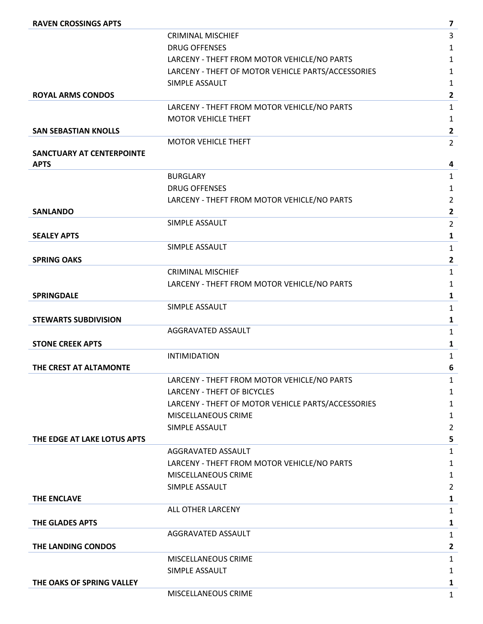| <b>RAVEN CROSSINGS APTS</b>      |                                                    | $\overline{\mathbf{z}}$ |
|----------------------------------|----------------------------------------------------|-------------------------|
|                                  | <b>CRIMINAL MISCHIEF</b>                           | 3                       |
|                                  | <b>DRUG OFFENSES</b>                               | 1                       |
|                                  | LARCENY - THEFT FROM MOTOR VEHICLE/NO PARTS        | $\mathbf{1}$            |
|                                  | LARCENY - THEFT OF MOTOR VEHICLE PARTS/ACCESSORIES | $\mathbf{1}$            |
|                                  | SIMPLE ASSAULT                                     | $\mathbf{1}$            |
| <b>ROYAL ARMS CONDOS</b>         |                                                    | $\mathbf{2}$            |
|                                  | LARCENY - THEFT FROM MOTOR VEHICLE/NO PARTS        | $\mathbf{1}$            |
|                                  | <b>MOTOR VEHICLE THEFT</b>                         | $\mathbf{1}$            |
| <b>SAN SEBASTIAN KNOLLS</b>      |                                                    | $\mathbf{2}$            |
|                                  | <b>MOTOR VEHICLE THEFT</b>                         | $\overline{2}$          |
| <b>SANCTUARY AT CENTERPOINTE</b> |                                                    |                         |
| <b>APTS</b>                      |                                                    | 4                       |
|                                  | <b>BURGLARY</b>                                    | $\mathbf{1}$            |
|                                  | <b>DRUG OFFENSES</b>                               | 1                       |
|                                  | LARCENY - THEFT FROM MOTOR VEHICLE/NO PARTS        | $\overline{2}$          |
| <b>SANLANDO</b>                  |                                                    | $\overline{2}$          |
|                                  | SIMPLE ASSAULT                                     | $\overline{2}$          |
| <b>SEALEY APTS</b>               |                                                    | $\mathbf{1}$            |
|                                  | SIMPLE ASSAULT                                     | $\mathbf{1}$            |
| <b>SPRING OAKS</b>               |                                                    | $\mathbf{2}$            |
|                                  | <b>CRIMINAL MISCHIEF</b>                           | $\mathbf{1}$            |
|                                  | LARCENY - THEFT FROM MOTOR VEHICLE/NO PARTS        | $\mathbf{1}$            |
| <b>SPRINGDALE</b>                |                                                    | $\mathbf{1}$            |
|                                  | SIMPLE ASSAULT                                     | $\mathbf{1}$            |
| <b>STEWARTS SUBDIVISION</b>      |                                                    | $\mathbf{1}$            |
|                                  | AGGRAVATED ASSAULT                                 | 1                       |
| <b>STONE CREEK APTS</b>          |                                                    | 1                       |
|                                  | <b>INTIMIDATION</b>                                | $\mathbf{1}$            |
| THE CREST AT ALTAMONTE           |                                                    | 6                       |
|                                  | LARCENY - THEFT FROM MOTOR VEHICLE/NO PARTS        | $\mathbf{1}$            |
|                                  | LARCENY - THEFT OF BICYCLES                        | 1                       |
|                                  | LARCENY - THEFT OF MOTOR VEHICLE PARTS/ACCESSORIES | $\mathbf{1}$            |
|                                  | MISCELLANEOUS CRIME                                | 1                       |
|                                  | SIMPLE ASSAULT                                     | $\overline{2}$          |
| THE EDGE AT LAKE LOTUS APTS      |                                                    | 5                       |
|                                  | AGGRAVATED ASSAULT                                 | $\mathbf{1}$            |
|                                  | LARCENY - THEFT FROM MOTOR VEHICLE/NO PARTS        | $\mathbf{1}$            |
|                                  | MISCELLANEOUS CRIME                                | $\mathbf{1}$            |
|                                  | SIMPLE ASSAULT                                     | $\overline{2}$          |
| <b>THE ENCLAVE</b>               |                                                    | $\mathbf{1}$            |
|                                  | ALL OTHER LARCENY                                  | $\mathbf{1}$            |
| THE GLADES APTS                  |                                                    | $\mathbf{1}$            |
|                                  | AGGRAVATED ASSAULT                                 | $\mathbf{1}$            |
| THE LANDING CONDOS               |                                                    | $\mathbf{2}$            |
|                                  | MISCELLANEOUS CRIME                                | $\mathbf{1}$            |
|                                  | SIMPLE ASSAULT                                     | 1                       |
| THE OAKS OF SPRING VALLEY        |                                                    | 1                       |
|                                  | MISCELLANEOUS CRIME                                | $\mathbf{1}$            |
|                                  |                                                    |                         |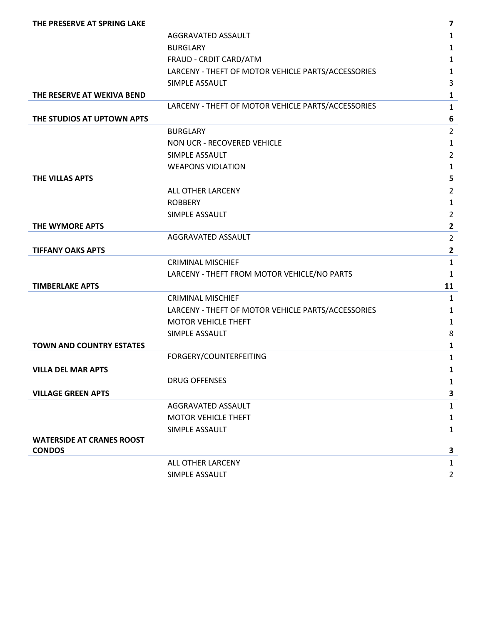| THE PRESERVE AT SPRING LAKE      |                                                    | 7              |
|----------------------------------|----------------------------------------------------|----------------|
|                                  | AGGRAVATED ASSAULT                                 | $\mathbf{1}$   |
|                                  | <b>BURGLARY</b>                                    | $\mathbf{1}$   |
|                                  | FRAUD - CRDIT CARD/ATM                             | $\mathbf{1}$   |
|                                  | LARCENY - THEFT OF MOTOR VEHICLE PARTS/ACCESSORIES | $\mathbf{1}$   |
|                                  | SIMPLE ASSAULT                                     | 3              |
| THE RESERVE AT WEKIVA BEND       |                                                    | $\mathbf{1}$   |
|                                  | LARCENY - THEFT OF MOTOR VEHICLE PARTS/ACCESSORIES | $\mathbf{1}$   |
| THE STUDIOS AT UPTOWN APTS       |                                                    | 6              |
|                                  | <b>BURGLARY</b>                                    | $\overline{2}$ |
|                                  | NON UCR - RECOVERED VEHICLE                        | $\mathbf{1}$   |
|                                  | SIMPLE ASSAULT                                     | $\overline{2}$ |
|                                  | <b>WEAPONS VIOLATION</b>                           | 1              |
| THE VILLAS APTS                  |                                                    | 5              |
|                                  | ALL OTHER LARCENY                                  | $\overline{2}$ |
|                                  | <b>ROBBERY</b>                                     | $\mathbf{1}$   |
|                                  | SIMPLE ASSAULT                                     | $\overline{2}$ |
| THE WYMORE APTS                  |                                                    | $\mathbf{2}$   |
|                                  | AGGRAVATED ASSAULT                                 | $\overline{2}$ |
| <b>TIFFANY OAKS APTS</b>         |                                                    | $\mathbf{2}$   |
|                                  | <b>CRIMINAL MISCHIEF</b>                           | $\mathbf{1}$   |
|                                  | LARCENY - THEFT FROM MOTOR VEHICLE/NO PARTS        | 1              |
| <b>TIMBERLAKE APTS</b>           |                                                    | 11             |
|                                  | <b>CRIMINAL MISCHIEF</b>                           | $\mathbf{1}$   |
|                                  | LARCENY - THEFT OF MOTOR VEHICLE PARTS/ACCESSORIES | $\mathbf{1}$   |
|                                  | <b>MOTOR VEHICLE THEFT</b>                         | $\mathbf{1}$   |
|                                  | SIMPLE ASSAULT                                     | 8              |
| <b>TOWN AND COUNTRY ESTATES</b>  |                                                    | $\mathbf{1}$   |
|                                  | FORGERY/COUNTERFEITING                             | $\mathbf{1}$   |
| <b>VILLA DEL MAR APTS</b>        |                                                    | $\mathbf{1}$   |
|                                  | <b>DRUG OFFENSES</b>                               | $\mathbf{1}$   |
| <b>VILLAGE GREEN APTS</b>        |                                                    | 3              |
|                                  | AGGRAVATED ASSAULT                                 | $\mathbf{1}$   |
|                                  | <b>MOTOR VEHICLE THEFT</b>                         | $\mathbf{1}$   |
|                                  | SIMPLE ASSAULT                                     | $\mathbf{1}$   |
| <b>WATERSIDE AT CRANES ROOST</b> |                                                    |                |
| <b>CONDOS</b>                    |                                                    | 3              |
|                                  | ALL OTHER LARCENY                                  | $\mathbf{1}$   |
|                                  | SIMPLE ASSAULT                                     | $\overline{2}$ |